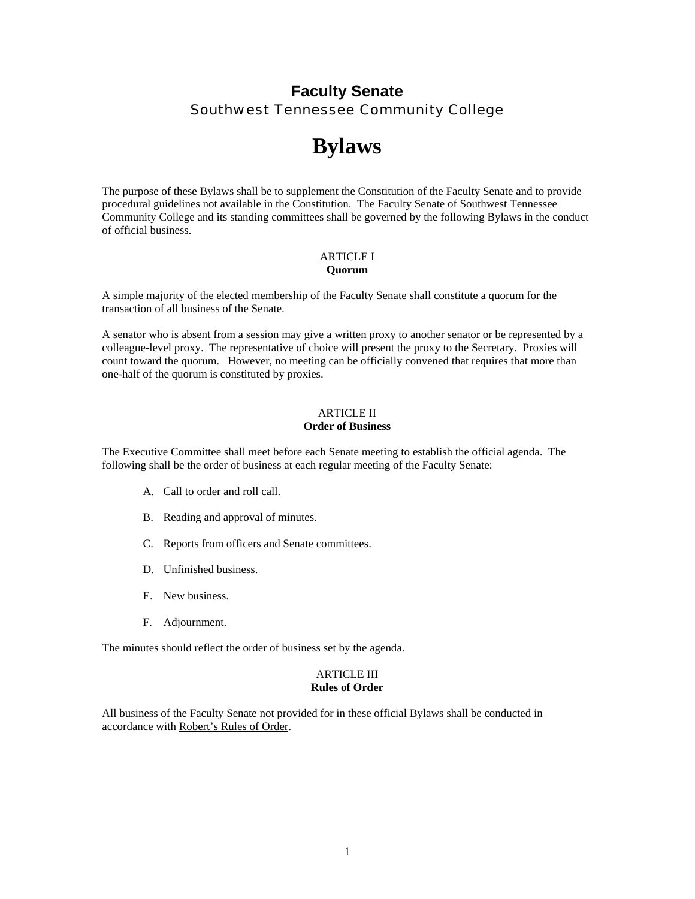# **Faculty Senate**  Southwest Tennessee Community College

# **Bylaws**

The purpose of these Bylaws shall be to supplement the Constitution of the Faculty Senate and to provide procedural guidelines not available in the Constitution. The Faculty Senate of Southwest Tennessee Community College and its standing committees shall be governed by the following Bylaws in the conduct of official business.

# ARTICLE I **Quorum**

A simple majority of the elected membership of the Faculty Senate shall constitute a quorum for the transaction of all business of the Senate.

A senator who is absent from a session may give a written proxy to another senator or be represented by a colleague-level proxy. The representative of choice will present the proxy to the Secretary. Proxies will count toward the quorum. However, no meeting can be officially convened that requires that more than one-half of the quorum is constituted by proxies.

# ARTICLE II **Order of Business**

The Executive Committee shall meet before each Senate meeting to establish the official agenda. The following shall be the order of business at each regular meeting of the Faculty Senate:

- A. Call to order and roll call.
- B. Reading and approval of minutes.
- C. Reports from officers and Senate committees.
- D. Unfinished business.
- E. New business.
- F. Adjournment.

The minutes should reflect the order of business set by the agenda.

# ARTICLE III **Rules of Order**

All business of the Faculty Senate not provided for in these official Bylaws shall be conducted in accordance with Robert's Rules of Order.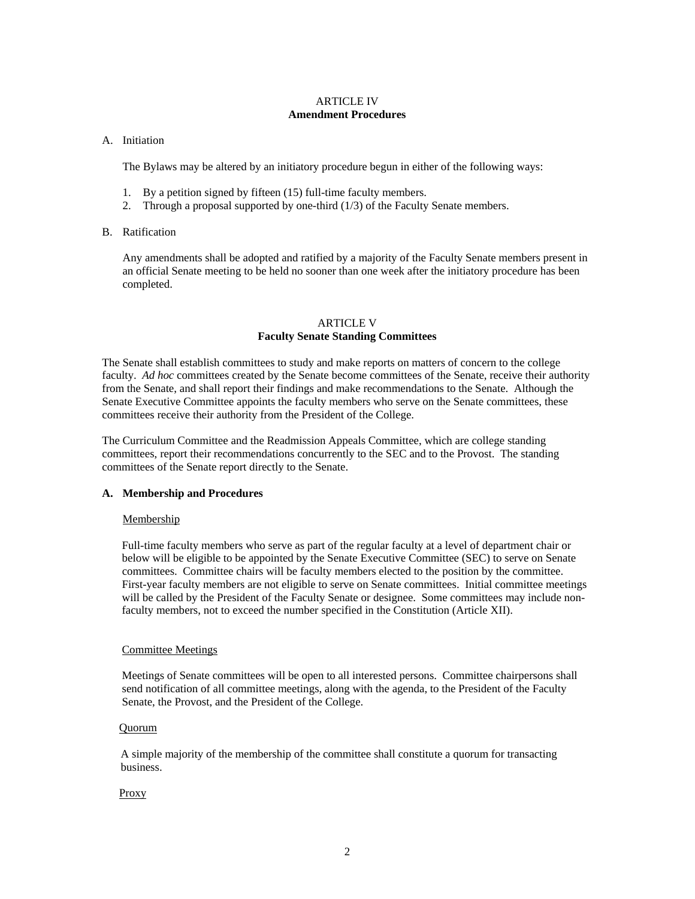# ARTICLE IV **Amendment Procedures**

# A. Initiation

The Bylaws may be altered by an initiatory procedure begun in either of the following ways:

- 1. By a petition signed by fifteen (15) full-time faculty members.
- 2. Through a proposal supported by one-third (1/3) of the Faculty Senate members.

# B. Ratification

Any amendments shall be adopted and ratified by a majority of the Faculty Senate members present in an official Senate meeting to be held no sooner than one week after the initiatory procedure has been completed.

# ARTICLE V **Faculty Senate Standing Committees**

The Senate shall establish committees to study and make reports on matters of concern to the college faculty. *Ad hoc* committees created by the Senate become committees of the Senate, receive their authority from the Senate, and shall report their findings and make recommendations to the Senate. Although the Senate Executive Committee appoints the faculty members who serve on the Senate committees, these committees receive their authority from the President of the College.

The Curriculum Committee and the Readmission Appeals Committee, which are college standing committees, report their recommendations concurrently to the SEC and to the Provost. The standing committees of the Senate report directly to the Senate.

# **A. Membership and Procedures**

# Membership

 Full-time faculty members who serve as part of the regular faculty at a level of department chair or below will be eligible to be appointed by the Senate Executive Committee (SEC) to serve on Senate committees. Committee chairs will be faculty members elected to the position by the committee. First-year faculty members are not eligible to serve on Senate committees. Initial committee meetings will be called by the President of the Faculty Senate or designee. Some committees may include non faculty members, not to exceed the number specified in the Constitution (Article XII).

# Committee Meetings

 Meetings of Senate committees will be open to all interested persons. Committee chairpersons shall send notification of all committee meetings, along with the agenda, to the President of the Faculty Senate, the Provost, and the President of the College.

# Quorum

A simple majority of the membership of the committee shall constitute a quorum for transacting business.

# **Proxy**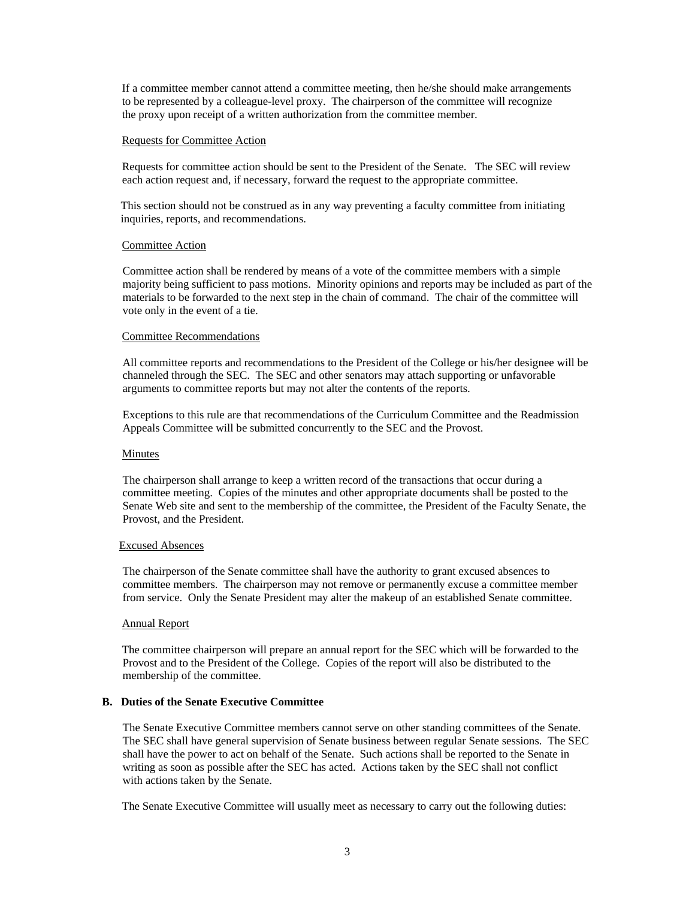If a committee member cannot attend a committee meeting, then he/she should make arrangements to be represented by a colleague-level proxy. The chairperson of the committee will recognize the proxy upon receipt of a written authorization from the committee member.

#### Requests for Committee Action

 Requests for committee action should be sent to the President of the Senate. The SEC will review each action request and, if necessary, forward the request to the appropriate committee.

This section should not be construed as in any way preventing a faculty committee from initiating inquiries, reports, and recommendations.

#### Committee Action

Committee action shall be rendered by means of a vote of the committee members with a simple majority being sufficient to pass motions. Minority opinions and reports may be included as part of the materials to be forwarded to the next step in the chain of command. The chair of the committee will vote only in the event of a tie.

# Committee Recommendations

All committee reports and recommendations to the President of the College or his/her designee will be channeled through the SEC. The SEC and other senators may attach supporting or unfavorable arguments to committee reports but may not alter the contents of the reports.

Exceptions to this rule are that recommendations of the Curriculum Committee and the Readmission Appeals Committee will be submitted concurrently to the SEC and the Provost.

#### Minutes

The chairperson shall arrange to keep a written record of the transactions that occur during a committee meeting. Copies of the minutes and other appropriate documents shall be posted to the Senate Web site and sent to the membership of the committee, the President of the Faculty Senate, the Provost, and the President.

#### Excused Absences

The chairperson of the Senate committee shall have the authority to grant excused absences to committee members. The chairperson may not remove or permanently excuse a committee member from service. Only the Senate President may alter the makeup of an established Senate committee.

#### Annual Report

 The committee chairperson will prepare an annual report for the SEC which will be forwarded to the Provost and to the President of the College. Copies of the report will also be distributed to the membership of the committee.

# **B. Duties of the Senate Executive Committee**

The Senate Executive Committee members cannot serve on other standing committees of the Senate. The SEC shall have general supervision of Senate business between regular Senate sessions. The SEC shall have the power to act on behalf of the Senate. Such actions shall be reported to the Senate in writing as soon as possible after the SEC has acted. Actions taken by the SEC shall not conflict with actions taken by the Senate.

The Senate Executive Committee will usually meet as necessary to carry out the following duties: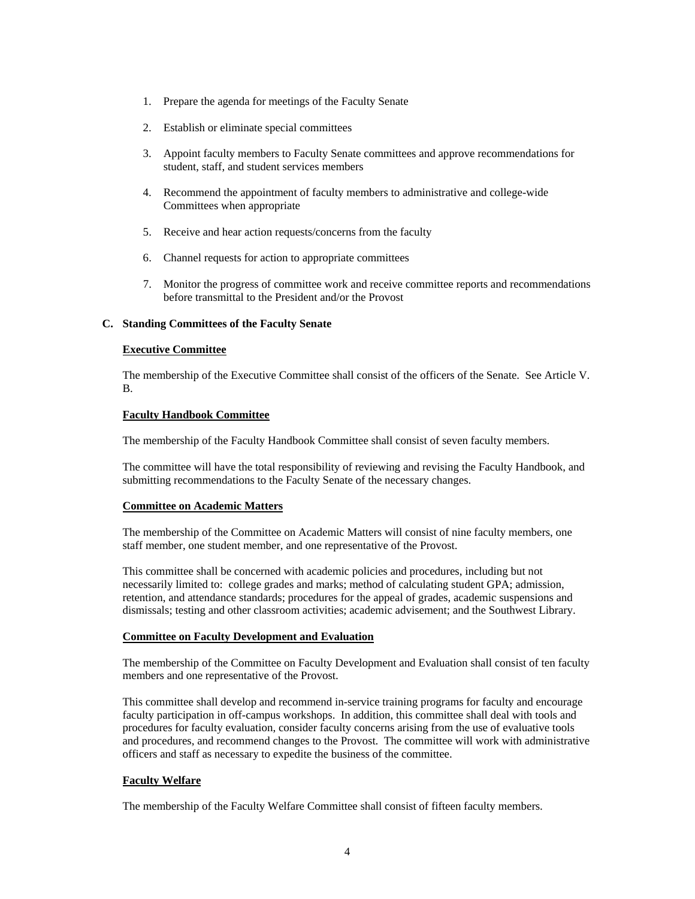- 1. Prepare the agenda for meetings of the Faculty Senate
- 2. Establish or eliminate special committees
- 3. Appoint faculty members to Faculty Senate committees and approve recommendations for student, staff, and student services members
- 4. Recommend the appointment of faculty members to administrative and college-wide Committees when appropriate
- 5. Receive and hear action requests/concerns from the faculty
- 6. Channel requests for action to appropriate committees
- 7. Monitor the progress of committee work and receive committee reports and recommendations before transmittal to the President and/or the Provost

#### **C. Standing Committees of the Faculty Senate**

# **Executive Committee**

The membership of the Executive Committee shall consist of the officers of the Senate. See Article V. B.

#### **Faculty Handbook Committee**

The membership of the Faculty Handbook Committee shall consist of seven faculty members.

The committee will have the total responsibility of reviewing and revising the Faculty Handbook, and submitting recommendations to the Faculty Senate of the necessary changes.

# **Committee on Academic Matters**

The membership of the Committee on Academic Matters will consist of nine faculty members, one staff member, one student member, and one representative of the Provost.

This committee shall be concerned with academic policies and procedures, including but not necessarily limited to: college grades and marks; method of calculating student GPA; admission, retention, and attendance standards; procedures for the appeal of grades, academic suspensions and dismissals; testing and other classroom activities; academic advisement; and the Southwest Library.

# **Committee on Faculty Development and Evaluation**

The membership of the Committee on Faculty Development and Evaluation shall consist of ten faculty members and one representative of the Provost.

This committee shall develop and recommend in-service training programs for faculty and encourage faculty participation in off-campus workshops. In addition, this committee shall deal with tools and procedures for faculty evaluation, consider faculty concerns arising from the use of evaluative tools and procedures, and recommend changes to the Provost. The committee will work with administrative officers and staff as necessary to expedite the business of the committee.

# **Faculty Welfare**

The membership of the Faculty Welfare Committee shall consist of fifteen faculty members.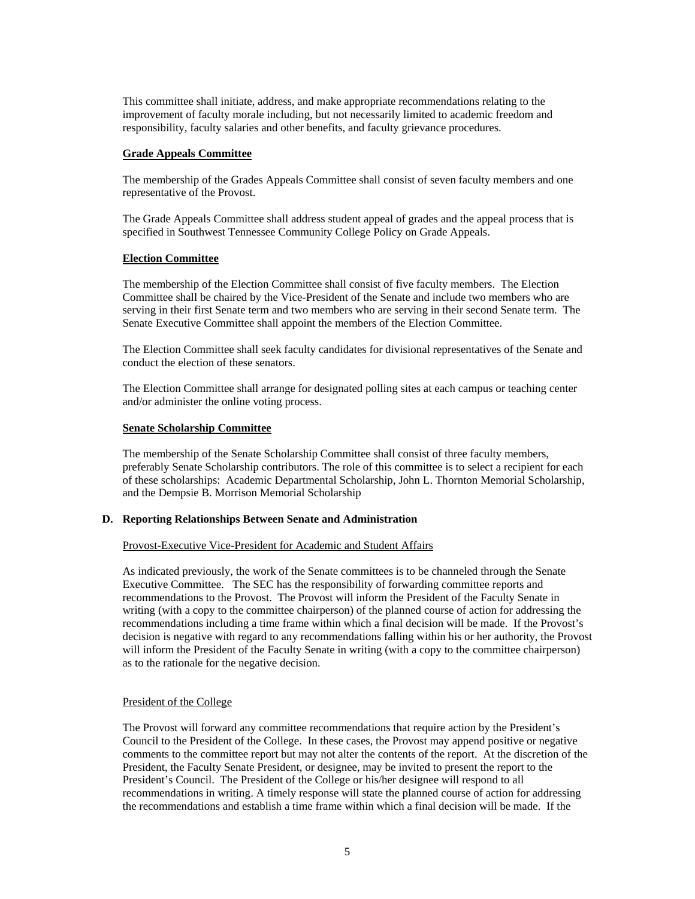This committee shall initiate, address, and make appropriate recommendations relating to the improvement of faculty morale including, but not necessarily limited to academic freedom and responsibility, faculty salaries and other benefits, and faculty grievance procedures.

# **Grade Appeals Committee**

The membership of the Grades Appeals Committee shall consist of seven faculty members and one representative of the Provost.

The Grade Appeals Committee shall address student appeal of grades and the appeal process that is specified in Southwest Tennessee Community College Policy on Grade Appeals.

# **Election Committee**

The membership of the Election Committee shall consist of five faculty members. The Election Committee shall be chaired by the Vice-President of the Senate and include two members who are serving in their first Senate term and two members who are serving in their second Senate term. The Senate Executive Committee shall appoint the members of the Election Committee.

The Election Committee shall seek faculty candidates for divisional representatives of the Senate and conduct the election of these senators.

The Election Committee shall arrange for designated polling sites at each campus or teaching center and/or administer the online voting process.

#### **Senate Scholarship Committee**

The membership of the Senate Scholarship Committee shall consist of three faculty members, preferably Senate Scholarship contributors. The role of this committee is to select a recipient for each of these scholarships: Academic Departmental Scholarship, John L. Thornton Memorial Scholarship, and the Dempsie B. Morrison Memorial Scholarship

#### **D. Reporting Relationships Between Senate and Administration**

#### Provost-Executive Vice-President for Academic and Student Affairs

As indicated previously, the work of the Senate committees is to be channeled through the Senate Executive Committee. The SEC has the responsibility of forwarding committee reports and recommendations to the Provost. The Provost will inform the President of the Faculty Senate in writing (with a copy to the committee chairperson) of the planned course of action for addressing the recommendations including a time frame within which a final decision will be made. If the Provost's decision is negative with regard to any recommendations falling within his or her authority, the Provost will inform the President of the Faculty Senate in writing (with a copy to the committee chairperson) as to the rationale for the negative decision.

# President of the College

The Provost will forward any committee recommendations that require action by the President's Council to the President of the College. In these cases, the Provost may append positive or negative comments to the committee report but may not alter the contents of the report. At the discretion of the President, the Faculty Senate President, or designee, may be invited to present the report to the President's Council. The President of the College or his/her designee will respond to all recommendations in writing. A timely response will state the planned course of action for addressing the recommendations and establish a time frame within which a final decision will be made. If the